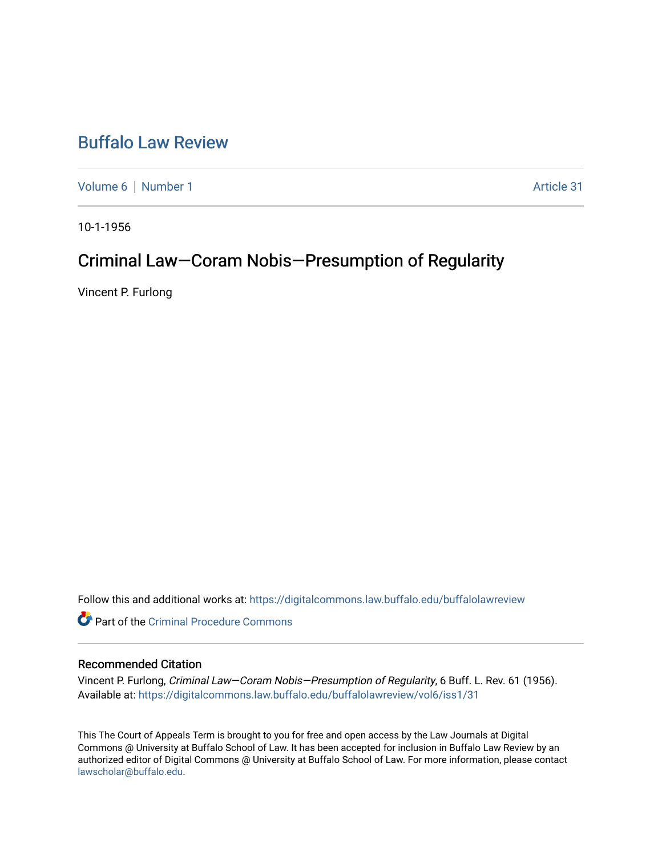## [Buffalo Law Review](https://digitalcommons.law.buffalo.edu/buffalolawreview)

[Volume 6](https://digitalcommons.law.buffalo.edu/buffalolawreview/vol6) | [Number 1](https://digitalcommons.law.buffalo.edu/buffalolawreview/vol6/iss1) Article 31

10-1-1956

# Criminal Law—Coram Nobis—Presumption of Regularity

Vincent P. Furlong

Follow this and additional works at: [https://digitalcommons.law.buffalo.edu/buffalolawreview](https://digitalcommons.law.buffalo.edu/buffalolawreview?utm_source=digitalcommons.law.buffalo.edu%2Fbuffalolawreview%2Fvol6%2Fiss1%2F31&utm_medium=PDF&utm_campaign=PDFCoverPages) 

**C** Part of the Criminal Procedure Commons

## Recommended Citation

Vincent P. Furlong, Criminal Law—Coram Nobis—Presumption of Regularity, 6 Buff. L. Rev. 61 (1956). Available at: [https://digitalcommons.law.buffalo.edu/buffalolawreview/vol6/iss1/31](https://digitalcommons.law.buffalo.edu/buffalolawreview/vol6/iss1/31?utm_source=digitalcommons.law.buffalo.edu%2Fbuffalolawreview%2Fvol6%2Fiss1%2F31&utm_medium=PDF&utm_campaign=PDFCoverPages) 

This The Court of Appeals Term is brought to you for free and open access by the Law Journals at Digital Commons @ University at Buffalo School of Law. It has been accepted for inclusion in Buffalo Law Review by an authorized editor of Digital Commons @ University at Buffalo School of Law. For more information, please contact [lawscholar@buffalo.edu](mailto:lawscholar@buffalo.edu).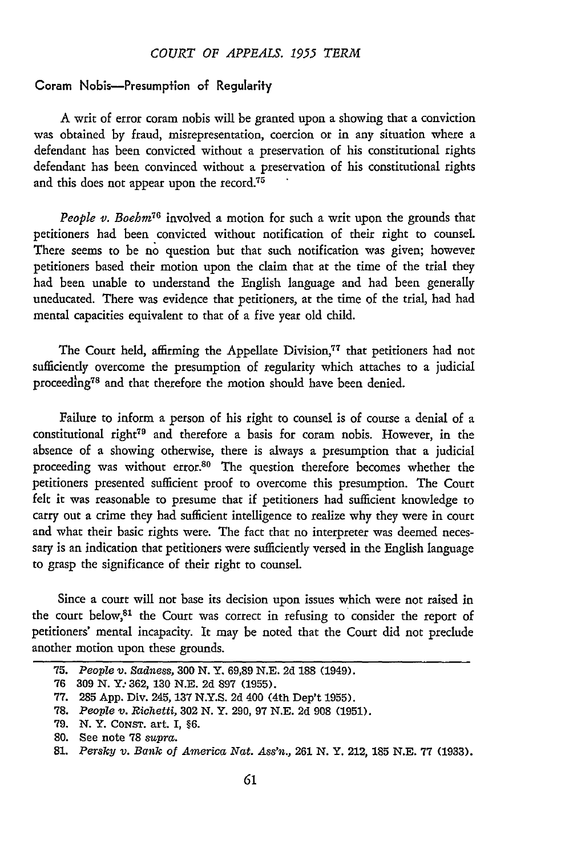#### *COURT OF APPEALS. 1955 TERM*

### Coram Nobis-Presumption of Regularify

**A** writ of error coram nobis will be granted upon a showing that a conviction was obtained **by** fraud, misrepresentation, coercion or in any situation where a defendant has been convicted without a preservation of his constitutional rights defendant has been convinced without a preservation of his constitutional rights and this does not appear upon the record.<sup>75</sup>

*People v. Boehm<sup>76</sup>* involved a motion for such a writ upon the grounds that petitioners had been convicted without notification of their right to counsel. There seems to be no question but that such notification was given; however petitioners based their motion upon the claim that at the time of the trial they had been unable to understand the English language and had been generally uneducated. There was evidence that petitioners, at the time of the trial, had had mental capacities equivalent to that of a five year old child.

The Court held, affirming the Appellate Division,<sup>77</sup> that petitioners had not sufficiently overcome the presumption of regularity which attaches to a judicial proceeding<sup>78</sup> and that therefore the motion should have been denied.

Failure to inform a person of his right to counsel is of course a denial of a constitutional right<sup>79</sup> and therefore a basis for coram nobis. However, in the absence of a showing otherwise, there is always a presumption that a judicial proceeding was without error.<sup>80</sup> The question therefore becomes whether the petitioners presented sufficient proof to overcome this presumption. The Court felt it was reasonable to presume that if petitioners had sufficient knowledge to carry out a crime they had sufficient intelligence to realize why they were in court and what their basic rights were. The fact that no interpreter was deemed necessary is an indication that petitioners were sufficiently versed in the English language to grasp the significance of their right to counsel.

Since a court will not base its decision upon issues which were not raised in the court below,<sup>81</sup> the Court was correct in refusing to consider the report of petitioners' mental incapacity. It may be noted that the Court did not preclude another motion upon these grounds.

**<sup>75.</sup>** *People v. Sadness,* **300 N.** Y. **69,89 N.E. 2d 188** (1949).

**<sup>76 309</sup> N.** *Y:* **362, 130 N.E. 2d 897 (1955).**

**<sup>77. 285</sup> App.** Div. **245, 137 N.Y.S. 2d** 400 (4th Dep't **1955).**

**<sup>78.</sup>** *People v. Richetti,* **302 N.** Y. **290, 97 N.E. 2d 908 (1951).**

**<sup>79.</sup> N.** Y. CONsT. art. I, **§6.**

**<sup>80.</sup>** See note **78** *supra.*

**<sup>81.</sup>** *Persky v. Bank of America Nat. Ass'n.,* **261 N.** Y. 212, **185 N.E. 77 (1933).**